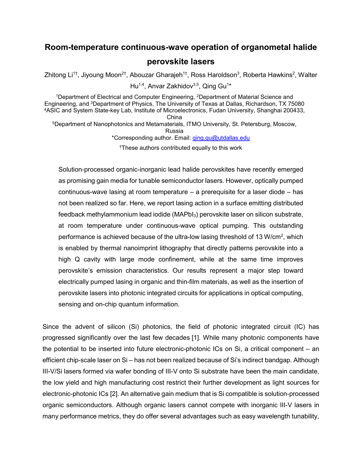# **Room-temperature continuous-wave operation of organometal halide perovskite lasers**

Zhitong Li<sup>1†</sup>, Jiyoung Moon<sup>2†</sup>, Abouzar Gharajeh<sup>1†</sup>, Ross Haroldson<sup>3</sup>, Roberta Hawkins<sup>2</sup>, Walter

Hu<sup>1,4</sup>, Anvar Zakhidov<sup>3,5</sup>, Qing Gu<sup>1</sup>\*

<sup>1</sup>Department of Electrical and Computer Engineering, <sup>2</sup>Department of Material Science and Engineering, and 3Department of Physics, The University of Texas at Dallas, Richardson, TX 75080 4ASIC and System State-key Lab, Institute of Microelectronics, Fudan University, Shanghai 200433, China 5Department of Nanophotonics and Metamaterials, ITMO University, St. Petersburg, Moscow, Russia \*Corresponding author. Email: qing.gu@utdallas.edu †These authors contributed equally to this work

Solution-processed organic-inorganic lead halide perovskites have recently emerged as promising gain media for tunable semiconductor lasers. However, optically pumped continuous-wave lasing at room temperature – a prerequisite for a laser diode – has not been realized so far. Here, we report lasing action in a surface emitting distributed feedback methylammonium lead iodide (MAPbI<sub>3</sub>) perovskite laser on silicon substrate, at room temperature under continuous-wave optical pumping. This outstanding performance is achieved because of the ultra-low lasing threshold of 13 W/cm<sup>2</sup>, which is enabled by thermal nanoimprint lithography that directly patterns perovskite into a high Q cavity with large mode confinement, while at the same time improves perovskite's emission characteristics. Our results represent a major step toward electrically pumped lasing in organic and thin-film materials, as well as the insertion of perovskite lasers into photonic integrated circuits for applications in optical computing, sensing and on-chip quantum information.

Since the advent of silicon (Si) photonics, the field of photonic integrated circuit (IC) has progressed significantly over the last few decades [1]. While many photonic components have the potential to be inserted into future electronic-photonic ICs on Si, a critical component – an efficient chip-scale laser on Si – has not been realized because of Si's indirect bandgap. Although III-V/Si lasers formed via wafer bonding of III-V onto Si substrate have been the main candidate, the low yield and high manufacturing cost restrict their further development as light sources for electronic-photonic ICs [2]. An alternative gain medium that is Si compatible is solution-processed organic semiconductors. Although organic lasers cannot compete with inorganic III-V lasers in many performance metrics, they do offer several advantages such as easy wavelength tunability,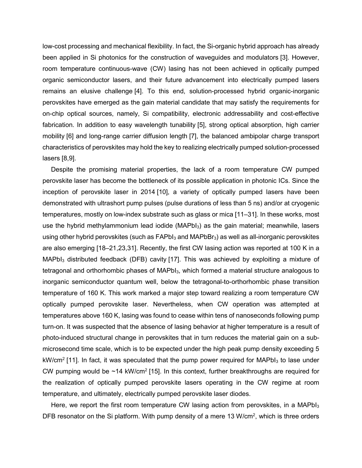low-cost processing and mechanical flexibility. In fact, the Si-organic hybrid approach has already been applied in Si photonics for the construction of waveguides and modulators [3]. However, room temperature continuous-wave (CW) lasing has not been achieved in optically pumped organic semiconductor lasers, and their future advancement into electrically pumped lasers remains an elusive challenge [4]. To this end, solution-processed hybrid organic-inorganic perovskites have emerged as the gain material candidate that may satisfy the requirements for on-chip optical sources, namely, Si compatibility, electronic addressability and cost-effective fabrication. In addition to easy wavelength tunability [5], strong optical absorption, high carrier mobility [6] and long-range carrier diffusion length [7], the balanced ambipolar charge transport characteristics of perovskites may hold the key to realizing electrically pumped solution-processed lasers [8,9].

Despite the promising material properties, the lack of a room temperature CW pumped perovskite laser has become the bottleneck of its possible application in photonic ICs. Since the inception of perovskite laser in 2014 [10], a variety of optically pumped lasers have been demonstrated with ultrashort pump pulses (pulse durations of less than 5 ns) and/or at cryogenic temperatures, mostly on low-index substrate such as glass or mica [11–31]. In these works, most use the hybrid methylammonium lead iodide (MAPbI<sub>3</sub>) as the gain material; meanwhile, lasers using other hybrid perovskites (such as  $FAPb1<sub>3</sub>$  and MAPbBr<sub>3</sub>) as well as all-inorganic perovskites are also emerging [18–21,23,31]. Recently, the first CW lasing action was reported at 100 K in a  $MAPbI<sub>3</sub>$  distributed feedback (DFB) cavity [17]. This was achieved by exploiting a mixture of tetragonal and orthorhombic phases of MAPbI<sub>3</sub>, which formed a material structure analogous to inorganic semiconductor quantum well, below the tetragonal-to-orthorhombic phase transition temperature of 160 K. This work marked a major step toward realizing a room temperature CW optically pumped perovskite laser. Nevertheless, when CW operation was attempted at temperatures above 160 K, lasing was found to cease within tens of nanoseconds following pump turn-on. It was suspected that the absence of lasing behavior at higher temperature is a result of photo-induced structural change in perovskites that in turn reduces the material gain on a submicrosecond time scale, which is to be expected under the high peak pump density exceeding 5  $kW/cm^2$  [11]. In fact, it was speculated that the pump power required for MAPbI $_3$  to lase under CW pumping would be  $\sim$ 14 kW/cm<sup>2</sup> [15]. In this context, further breakthroughs are required for the realization of optically pumped perovskite lasers operating in the CW regime at room temperature, and ultimately, electrically pumped perovskite laser diodes.

Here, we report the first room temperature CW lasing action from perovskites, in a MAPbI $_3$ DFB resonator on the Si platform. With pump density of a mere 13 W/cm<sup>2</sup>, which is three orders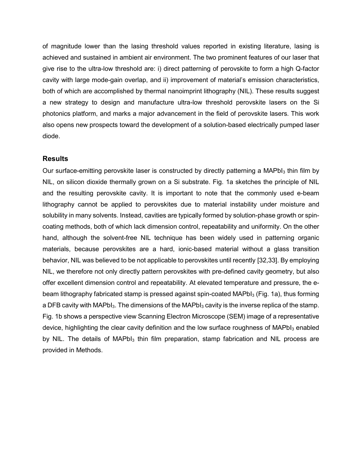of magnitude lower than the lasing threshold values reported in existing literature, lasing is achieved and sustained in ambient air environment. The two prominent features of our laser that give rise to the ultra-low threshold are: i) direct patterning of perovskite to form a high Q-factor cavity with large mode-gain overlap, and ii) improvement of material's emission characteristics, both of which are accomplished by thermal nanoimprint lithography (NIL). These results suggest a new strategy to design and manufacture ultra-low threshold perovskite lasers on the Si photonics platform, and marks a major advancement in the field of perovskite lasers. This work also opens new prospects toward the development of a solution-based electrically pumped laser diode.

## **Results**

Our surface-emitting perovskite laser is constructed by directly patterning a MAPbI<sub>3</sub> thin film by NIL, on silicon dioxide thermally grown on a Si substrate. Fig. 1a sketches the principle of NIL and the resulting perovskite cavity. It is important to note that the commonly used e-beam lithography cannot be applied to perovskites due to material instability under moisture and solubility in many solvents. Instead, cavities are typically formed by solution-phase growth or spincoating methods, both of which lack dimension control, repeatability and uniformity. On the other hand, although the solvent-free NIL technique has been widely used in patterning organic materials, because perovskites are a hard, ionic-based material without a glass transition behavior, NIL was believed to be not applicable to perovskites until recently [32,33]. By employing NIL, we therefore not only directly pattern perovskites with pre-defined cavity geometry, but also offer excellent dimension control and repeatability. At elevated temperature and pressure, the ebeam lithography fabricated stamp is pressed against spin-coated MAPbI<sub>3</sub> (Fig. 1a), thus forming a DFB cavity with MAPbI<sub>3</sub>. The dimensions of the MAPbI<sub>3</sub> cavity is the inverse replica of the stamp. Fig. 1b shows a perspective view Scanning Electron Microscope (SEM) image of a representative device, highlighting the clear cavity definition and the low surface roughness of MAPbI<sub>3</sub> enabled by NIL. The details of MAPbI<sub>3</sub> thin film preparation, stamp fabrication and NIL process are provided in Methods.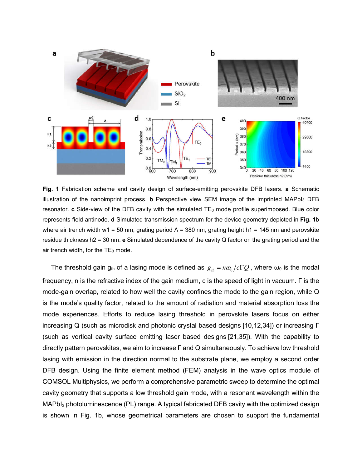

**Fig. 1** Fabrication scheme and cavity design of surface-emitting perovskite DFB lasers. **a** Schematic illustration of the nanoimprint process. **b** Perspective view SEM image of the imprinted MAPbI3 DFB resonator. **c** Side-view of the DFB cavity with the simulated TE<sub>0</sub> mode profile superimposed. Blue color represents field antinode. **d** Simulated transmission spectrum for the device geometry depicted in **Fig. 1**b where air trench width w1 = 50 nm, grating period  $\Lambda$  = 380 nm, grating height h1 = 145 nm and perovskite residue thickness h2 = 30 nm. **e** Simulated dependence of the cavity Q factor on the grating period and the air trench width, for the  $TE<sub>0</sub>$  mode.

The threshold gain g<sub>th</sub> of a lasing mode is defined as  $g_{th} = n\omega_0/c\Gamma Q$ , where  $\omega_0$  is the modal frequency, n is the refractive index of the gain medium, c is the speed of light in vacuum. Γ is the mode-gain overlap, related to how well the cavity confines the mode to the gain region, while Q is the mode's quality factor, related to the amount of radiation and material absorption loss the mode experiences. Efforts to reduce lasing threshold in perovskite lasers focus on either increasing Q (such as microdisk and photonic crystal based designs [10,12,34]) or increasing Γ (such as vertical cavity surface emitting laser based designs [21,35]). With the capability to directly pattern perovskites, we aim to increase Γ and Q simultaneously. To achieve low threshold lasing with emission in the direction normal to the substrate plane, we employ a second order DFB design. Using the finite element method (FEM) analysis in the wave optics module of COMSOL Multiphysics, we perform a comprehensive parametric sweep to determine the optimal cavity geometry that supports a low threshold gain mode, with a resonant wavelength within the MAPbI3 photoluminescence (PL) range. A typical fabricated DFB cavity with the optimized design is shown in Fig. 1b, whose geometrical parameters are chosen to support the fundamental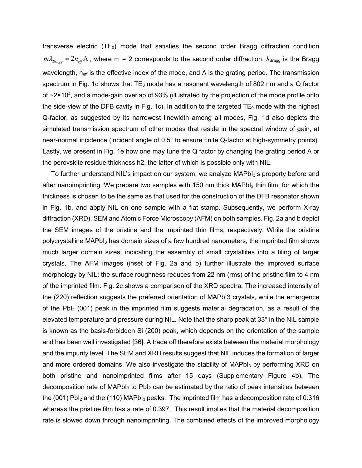transverse electric  $(TE_0)$  mode that satisfies the second order Bragg diffraction condition  $m \lambda_{Braoo} = 2 n_{\text{eff}} \Lambda$ , where m = 2 corresponds to the second order diffraction,  $\lambda_{Bragg}$  is the Bragg wavelength,  $n_{\text{eff}}$  is the effective index of the mode, and  $\Lambda$  is the grating period. The transmission spectrum in Fig. 1d shows that  $TE_0$  mode has a resonant wavelength of 802 nm and a Q factor of  $\sim$ 2×10<sup>4</sup>, and a mode-gain overlap of 93% (illustrated by the projection of the mode profile onto the side-view of the DFB cavity in Fig. 1c). In addition to the targeted  $TE<sub>0</sub>$  mode with the highest Q-factor, as suggested by its narrowest linewidth among all modes, Fig. 1d also depicts the simulated transmission spectrum of other modes that reside in the spectral window of gain, at near-normal incidence (incident angle of 0.5° to ensure finite Q-factor at high-symmetry points). Lastly, we present in Fig. 1e how one may tune the Q factor by changing the grating period Λ or the perovskite residue thickness h2, the latter of which is possible only with NIL.

To further understand NIL's impact on our system, we analyze MAPbI<sub>3</sub>'s property before and after nanoimprinting. We prepare two samples with 150 nm thick  $MAPbI<sub>3</sub>$  thin film, for which the thickness is chosen to be the same as that used for the construction of the DFB resonator shown in Fig. 1b, and apply NIL on one sample with a flat stamp. Subsequently, we perform X-ray diffraction (XRD), SEM and Atomic Force Microscopy (AFM) on both samples. Fig. 2a and b depict the SEM images of the pristine and the imprinted thin films, respectively. While the pristine polycrystalline MAPbI<sub>3</sub> has domain sizes of a few hundred nanometers, the imprinted film shows much larger domain sizes, indicating the assembly of small crystallites into a tiling of larger crystals. The AFM images (inset of Fig. 2a and b) further illustrate the improved surface morphology by NIL: the surface roughness reduces from 22 nm (rms) of the pristine film to 4 nm of the imprinted film. Fig. 2c shows a comparison of the XRD spectra. The increased intensity of the (220) reflection suggests the preferred orientation of MAPbI3 crystals, while the emergence of the PbI2 (001) peak in the imprinted film suggests material degradation, as a result of the elevated temperature and pressure during NIL. Note that the sharp peak at 33° in the NIL sample is known as the basis-forbidden Si (200) peak, which depends on the orientation of the sample and has been well investigated [36]. A trade off therefore exists between the material morphology and the impurity level. The SEM and XRD results suggest that NIL induces the formation of larger and more ordered domains. We also investigate the stability of MAPbI<sub>3</sub> by performing XRD on both pristine and nanoimprinted films after 15 days (Supplementary Figure 4b). The decomposition rate of MAPbI $_3$  to PbI $_2$  can be estimated by the ratio of peak intensities between the (001) PbI<sub>2</sub> and the (110) MAPbI<sub>3</sub> peaks. The imprinted film has a decomposition rate of 0.316 whereas the pristine film has a rate of 0.397. This result implies that the material decomposition rate is slowed down through nanoimprinting. The combined effects of the improved morphology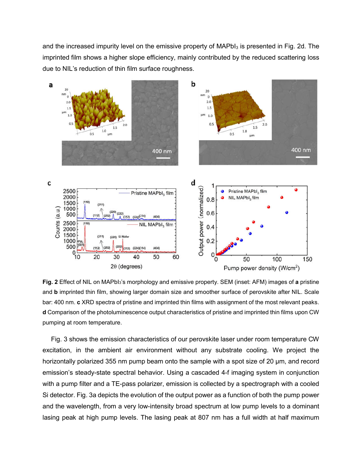and the increased impurity level on the emissive property of  $MAPbI<sub>3</sub>$  is presented in Fig. 2d. The imprinted film shows a higher slope efficiency, mainly contributed by the reduced scattering loss due to NIL's reduction of thin film surface roughness.



**Fig. 2** Effect of NIL on MAPbI3's morphology and emissive property. SEM (inset: AFM) images of **a** pristine and **b** imprinted thin film, showing larger domain size and smoother surface of perovskite after NIL. Scale bar: 400 nm. **c** XRD spectra of pristine and imprinted thin films with assignment of the most relevant peaks. **d** Comparison of the photoluminescence output characteristics of pristine and imprinted thin films upon CW pumping at room temperature.

Fig. 3 shows the emission characteristics of our perovskite laser under room temperature CW excitation, in the ambient air environment without any substrate cooling. We project the horizontally polarized 355 nm pump beam onto the sample with a spot size of 20 μm, and record emission's steady-state spectral behavior. Using a cascaded 4-f imaging system in conjunction with a pump filter and a TE-pass polarizer, emission is collected by a spectrograph with a cooled Si detector. Fig. 3a depicts the evolution of the output power as a function of both the pump power and the wavelength, from a very low-intensity broad spectrum at low pump levels to a dominant lasing peak at high pump levels. The lasing peak at 807 nm has a full width at half maximum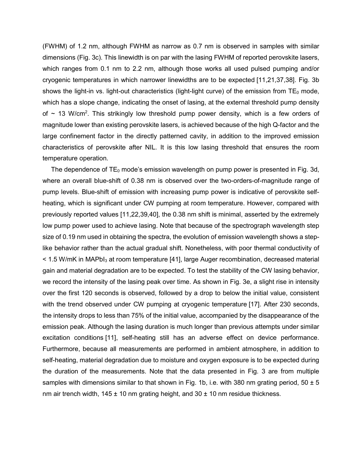(FWHM) of 1.2 nm, although FWHM as narrow as 0.7 nm is observed in samples with similar dimensions (Fig. 3c). This linewidth is on par with the lasing FWHM of reported perovskite lasers, which ranges from 0.1 nm to 2.2 nm, although those works all used pulsed pumping and/or cryogenic temperatures in which narrower linewidths are to be expected [11,21,37,38]. Fig. 3b shows the light-in vs. light-out characteristics (light-light curve) of the emission from  $TE_0$  mode, which has a slope change, indicating the onset of lasing, at the external threshold pump density of  $\sim$  13 W/cm<sup>2</sup>. This strikingly low threshold pump power density, which is a few orders of magnitude lower than existing perovskite lasers, is achieved because of the high Q-factor and the large confinement factor in the directly patterned cavity, in addition to the improved emission characteristics of perovskite after NIL. It is this low lasing threshold that ensures the room temperature operation.

The dependence of  $TE_0$  mode's emission wavelength on pump power is presented in Fig. 3d, where an overall blue-shift of 0.38 nm is observed over the two-orders-of-magnitude range of pump levels. Blue-shift of emission with increasing pump power is indicative of perovskite selfheating, which is significant under CW pumping at room temperature. However, compared with previously reported values [11,22,39,40], the 0.38 nm shift is minimal, asserted by the extremely low pump power used to achieve lasing. Note that because of the spectrograph wavelength step size of 0.19 nm used in obtaining the spectra, the evolution of emission wavelength shows a steplike behavior rather than the actual gradual shift. Nonetheless, with poor thermal conductivity of  $<$  1.5 W/mK in MAPbI $_3$  at room temperature [41], large Auger recombination, decreased material gain and material degradation are to be expected. To test the stability of the CW lasing behavior, we record the intensity of the lasing peak over time. As shown in Fig. 3e, a slight rise in intensity over the first 120 seconds is observed, followed by a drop to below the initial value, consistent with the trend observed under CW pumping at cryogenic temperature [17]. After 230 seconds, the intensity drops to less than 75% of the initial value, accompanied by the disappearance of the emission peak. Although the lasing duration is much longer than previous attempts under similar excitation conditions [11], self-heating still has an adverse effect on device performance. Furthermore, because all measurements are performed in ambient atmosphere, in addition to self-heating, material degradation due to moisture and oxygen exposure is to be expected during the duration of the measurements. Note that the data presented in Fig. 3 are from multiple samples with dimensions similar to that shown in Fig. 1b, i.e. with 380 nm grating period, 50  $\pm$  5 nm air trench width,  $145 \pm 10$  nm grating height, and  $30 \pm 10$  nm residue thickness.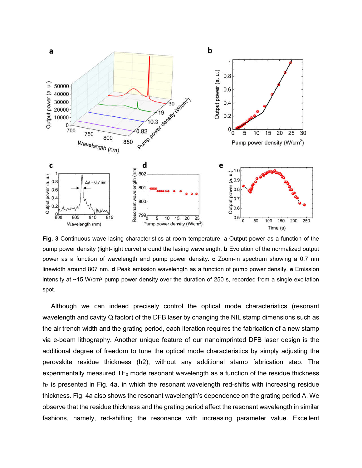

**Fig. 3** Continuous-wave lasing characteristics at room temperature. **a** Output power as a function of the pump power density (light-light curve) around the lasing wavelength. **b** Evolution of the normalized output power as a function of wavelength and pump power density. **c** Zoom-in spectrum showing a 0.7 nm linewidth around 807 nm. **d** Peak emission wavelength as a function of pump power density. **e** Emission intensity at  $~15$  W/cm<sup>2</sup> pump power density over the duration of 250 s, recorded from a single excitation spot.

Although we can indeed precisely control the optical mode characteristics (resonant wavelength and cavity Q factor) of the DFB laser by changing the NIL stamp dimensions such as the air trench width and the grating period, each iteration requires the fabrication of a new stamp via e-beam lithography. Another unique feature of our nanoimprinted DFB laser design is the additional degree of freedom to tune the optical mode characteristics by simply adjusting the perovskite residue thickness (h2), without any additional stamp fabrication step. The experimentally measured  $TE_0$  mode resonant wavelength as a function of the residue thickness  $h_2$  is presented in Fig. 4a, in which the resonant wavelength red-shifts with increasing residue thickness. Fig. 4a also shows the resonant wavelength's dependence on the grating period Λ. We observe that the residue thickness and the grating period affect the resonant wavelength in similar fashions, namely, red-shifting the resonance with increasing parameter value. Excellent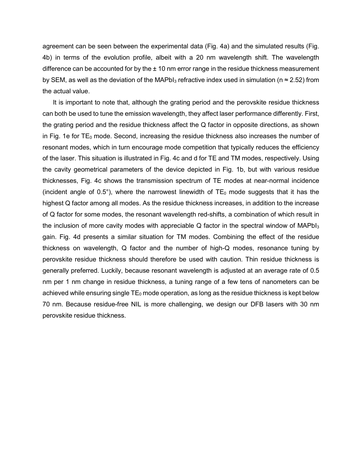agreement can be seen between the experimental data (Fig. 4a) and the simulated results (Fig. 4b) in terms of the evolution profile, albeit with a 20 nm wavelength shift. The wavelength difference can be accounted for by the  $\pm 10$  nm error range in the residue thickness measurement by SEM, as well as the deviation of the MAPbI<sub>3</sub> refractive index used in simulation ( $n \approx 2.52$ ) from the actual value.

It is important to note that, although the grating period and the perovskite residue thickness can both be used to tune the emission wavelength, they affect laser performance differently. First, the grating period and the residue thickness affect the Q factor in opposite directions, as shown in Fig. 1e for  $TE_0$  mode. Second, increasing the residue thickness also increases the number of resonant modes, which in turn encourage mode competition that typically reduces the efficiency of the laser. This situation is illustrated in Fig. 4c and d for TE and TM modes, respectively. Using the cavity geometrical parameters of the device depicted in Fig. 1b, but with various residue thicknesses, Fig. 4c shows the transmission spectrum of TE modes at near-normal incidence (incident angle of  $0.5^{\circ}$ ), where the narrowest linewidth of TE<sub>0</sub> mode suggests that it has the highest Q factor among all modes. As the residue thickness increases, in addition to the increase of Q factor for some modes, the resonant wavelength red-shifts, a combination of which result in the inclusion of more cavity modes with appreciable  $Q$  factor in the spectral window of MAPbI $_3$ gain. Fig. 4d presents a similar situation for TM modes. Combining the effect of the residue thickness on wavelength, Q factor and the number of high-Q modes, resonance tuning by perovskite residue thickness should therefore be used with caution. Thin residue thickness is generally preferred. Luckily, because resonant wavelength is adjusted at an average rate of 0.5 nm per 1 nm change in residue thickness, a tuning range of a few tens of nanometers can be achieved while ensuring single  $TE_0$  mode operation, as long as the residue thickness is kept below 70 nm. Because residue-free NIL is more challenging, we design our DFB lasers with 30 nm perovskite residue thickness.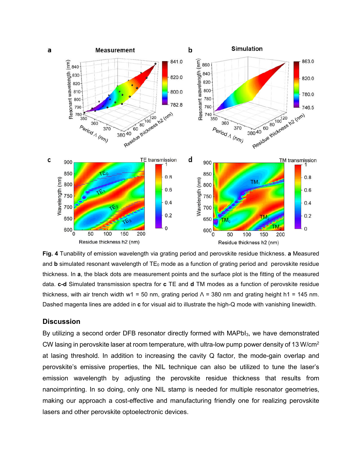

**Fig. 4** Tunability of emission wavelength via grating period and perovskite residue thickness. **a** Measured and **b** simulated resonant wavelength of TE<sub>0</sub> mode as a function of grating period and perovskite residue thickness. In **a**, the black dots are measurement points and the surface plot is the fitting of the measured data. **c-d** Simulated transmission spectra for **c** TE and **d** TM modes as a function of perovskite residue thickness, with air trench width w1 = 50 nm, grating period  $\Lambda$  = 380 nm and grating height h1 = 145 nm. Dashed magenta lines are added in **c** for visual aid to illustrate the high-Q mode with vanishing linewidth.

## **Discussion**

By utilizing a second order DFB resonator directly formed with MAPbI<sub>3</sub>, we have demonstrated CW lasing in perovskite laser at room temperature, with ultra-low pump power density of 13 W/cm2 at lasing threshold. In addition to increasing the cavity Q factor, the mode-gain overlap and perovskite's emissive properties, the NIL technique can also be utilized to tune the laser's emission wavelength by adjusting the perovskite residue thickness that results from nanoimprinting. In so doing, only one NIL stamp is needed for multiple resonator geometries, making our approach a cost-effective and manufacturing friendly one for realizing perovskite lasers and other perovskite optoelectronic devices.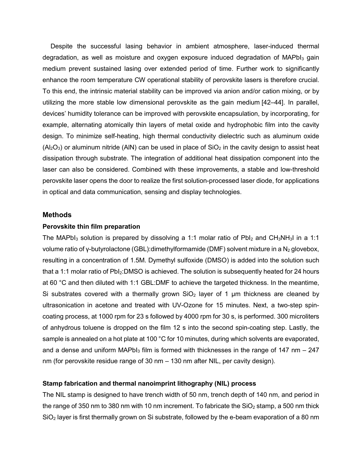Despite the successful lasing behavior in ambient atmosphere, laser-induced thermal degradation, as well as moisture and oxygen exposure induced degradation of  $MAPbI<sub>3</sub>$  gain medium prevent sustained lasing over extended period of time. Further work to significantly enhance the room temperature CW operational stability of perovskite lasers is therefore crucial. To this end, the intrinsic material stability can be improved via anion and/or cation mixing, or by utilizing the more stable low dimensional perovskite as the gain medium [42–44]. In parallel, devices' humidity tolerance can be improved with perovskite encapsulation, by incorporating, for example, alternating atomically thin layers of metal oxide and hydrophobic film into the cavity design. To minimize self-heating, high thermal conductivity dielectric such as aluminum oxide  $(A<sub>2</sub>O<sub>3</sub>)$  or aluminum nitride (AIN) can be used in place of SiO<sub>2</sub> in the cavity design to assist heat dissipation through substrate. The integration of additional heat dissipation component into the laser can also be considered. Combined with these improvements, a stable and low-threshold perovskite laser opens the door to realize the first solution-processed laser diode, for applications in optical and data communication, sensing and display technologies.

### **Methods**

#### **Perovskite thin film preparation**

The MAPbI<sub>3</sub> solution is prepared by dissolving a 1:1 molar ratio of PbI<sub>2</sub> and CH<sub>3</sub>NH<sub>3</sub>I in a 1:1 volume ratio of γ-butyrolactone (GBL):dimethylformamide (DMF) solvent mixture in a N<sub>2</sub> glovebox, resulting in a concentration of 1.5M. Dymethyl sulfoxide (DMSO) is added into the solution such that a 1:1 molar ratio of  $PbI_2:DMSO$  is achieved. The solution is subsequently heated for 24 hours at 60 °C and then diluted with 1:1 GBL:DMF to achieve the targeted thickness. In the meantime, Si substrates covered with a thermally grown  $SiO<sub>2</sub>$  layer of 1 µm thickness are cleaned by ultrasonication in acetone and treated with UV-Ozone for 15 minutes. Next, a two-step spincoating process, at 1000 rpm for 23 s followed by 4000 rpm for 30 s, is performed. 300 microliters of anhydrous toluene is dropped on the film 12 s into the second spin-coating step. Lastly, the sample is annealed on a hot plate at 100 °C for 10 minutes, during which solvents are evaporated, and a dense and uniform MAPbI<sub>3</sub> film is formed with thicknesses in the range of 147 nm  $-$  247 nm (for perovskite residue range of 30 nm – 130 nm after NIL, per cavity design).

## **Stamp fabrication and thermal nanoimprint lithography (NIL) process**

The NIL stamp is designed to have trench width of 50 nm, trench depth of 140 nm, and period in the range of 350 nm to 380 nm with 10 nm increment. To fabricate the  $SiO<sub>2</sub>$  stamp, a 500 nm thick SiO<sub>2</sub> layer is first thermally grown on Si substrate, followed by the e-beam evaporation of a 80 nm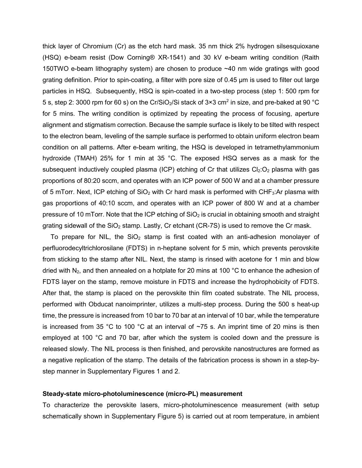thick layer of Chromium (Cr) as the etch hard mask. 35 nm thick 2% hydrogen silsesquioxane (HSQ) e-beam resist (Dow Corning® XR-1541) and 30 kV e-beam writing condition (Raith 150TWO e-beam lithography system) are chosen to produce ~40 nm wide gratings with good grating definition. Prior to spin-coating, a filter with pore size of 0.45 μm is used to filter out large particles in HSQ. Subsequently, HSQ is spin-coated in a two-step process (step 1: 500 rpm for 5 s, step 2: 3000 rpm for 60 s) on the Cr/SiO<sub>2</sub>/Si stack of  $3 \times 3$  cm<sup>2</sup> in size, and pre-baked at 90 °C for 5 mins. The writing condition is optimized by repeating the process of focusing, aperture alignment and stigmatism correction. Because the sample surface is likely to be tilted with respect to the electron beam, leveling of the sample surface is performed to obtain uniform electron beam condition on all patterns. After e-beam writing, the HSQ is developed in tetramethylammonium hydroxide (TMAH) 25% for 1 min at 35 °C. The exposed HSQ serves as a mask for the subsequent inductively coupled plasma (ICP) etching of Cr that utilizes  $Cl_2:O_2$  plasma with gas proportions of 80:20 sccm, and operates with an ICP power of 500 W and at a chamber pressure of 5 mTorr. Next, ICP etching of  $SiO<sub>2</sub>$  with Cr hard mask is performed with CHF<sub>3</sub>:Ar plasma with gas proportions of 40:10 sccm, and operates with an ICP power of 800 W and at a chamber pressure of 10 mTorr. Note that the ICP etching of  $SiO<sub>2</sub>$  is crucial in obtaining smooth and straight grating sidewall of the  $SiO<sub>2</sub>$  stamp. Lastly, Cr etchant (CR-7S) is used to remove the Cr mask.

To prepare for NIL, the  $SiO<sub>2</sub>$  stamp is first coated with an anti-adhesion monolayer of perfluorodecyltrichlorosilane (FDTS) in n-heptane solvent for 5 min, which prevents perovskite from sticking to the stamp after NIL. Next, the stamp is rinsed with acetone for 1 min and blow dried with  $N_2$ , and then annealed on a hotplate for 20 mins at 100 °C to enhance the adhesion of FDTS layer on the stamp, remove moisture in FDTS and increase the hydrophobicity of FDTS. After that, the stamp is placed on the perovskite thin film coated substrate. The NIL process, performed with Obducat nanoimprinter, utilizes a multi-step process. During the 500 s heat-up time, the pressure is increased from 10 bar to 70 bar at an interval of 10 bar, while the temperature is increased from 35 °C to 100 °C at an interval of  $\sim$ 75 s. An imprint time of 20 mins is then employed at 100 °C and 70 bar, after which the system is cooled down and the pressure is released slowly. The NIL process is then finished, and perovskite nanostructures are formed as a negative replication of the stamp. The details of the fabrication process is shown in a step-bystep manner in Supplementary Figures 1 and 2.

#### **Steady-state micro-photoluminescence (micro-PL) measurement**

To characterize the perovskite lasers, micro-photoluminescence measurement (with setup schematically shown in Supplementary Figure 5) is carried out at room temperature, in ambient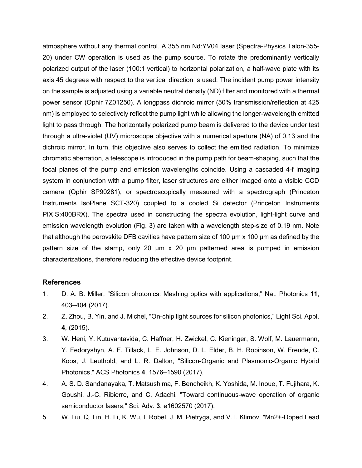atmosphere without any thermal control. A 355 nm Nd:YV04 laser (Spectra-Physics Talon-355- 20) under CW operation is used as the pump source. To rotate the predominantly vertically polarized output of the laser (100:1 vertical) to horizontal polarization, a half-wave plate with its axis 45 degrees with respect to the vertical direction is used. The incident pump power intensity on the sample is adjusted using a variable neutral density (ND) filter and monitored with a thermal power sensor (Ophir 7Z01250). A longpass dichroic mirror (50% transmission/reflection at 425 nm) is employed to selectively reflect the pump light while allowing the longer-wavelength emitted light to pass through. The horizontally polarized pump beam is delivered to the device under test through a ultra-violet (UV) microscope objective with a numerical aperture (NA) of 0.13 and the dichroic mirror. In turn, this objective also serves to collect the emitted radiation. To minimize chromatic aberration, a telescope is introduced in the pump path for beam-shaping, such that the focal planes of the pump and emission wavelengths coincide. Using a cascaded 4-f imaging system in conjunction with a pump filter, laser structures are either imaged onto a visible CCD camera (Ophir SP90281), or spectroscopically measured with a spectrograph (Princeton Instruments IsoPlane SCT-320) coupled to a cooled Si detector (Princeton Instruments PIXIS:400BRX). The spectra used in constructing the spectra evolution, light-light curve and emission wavelength evolution (Fig. 3) are taken with a wavelength step-size of 0.19 nm. Note that although the perovskite DFB cavities have pattern size of 100 μm x 100 μm as defined by the pattern size of the stamp, only 20  $\mu$ m x 20  $\mu$ m patterned area is pumped in emission characterizations, therefore reducing the effective device footprint.

## **References**

- 1. D. A. B. Miller, "Silicon photonics: Meshing optics with applications," Nat. Photonics **11**, 403–404 (2017).
- 2. Z. Zhou, B. Yin, and J. Michel, "On-chip light sources for silicon photonics," Light Sci. Appl. **4**, (2015).
- 3. W. Heni, Y. Kutuvantavida, C. Haffner, H. Zwickel, C. Kieninger, S. Wolf, M. Lauermann, Y. Fedoryshyn, A. F. Tillack, L. E. Johnson, D. L. Elder, B. H. Robinson, W. Freude, C. Koos, J. Leuthold, and L. R. Dalton, "Silicon-Organic and Plasmonic-Organic Hybrid Photonics," ACS Photonics **4**, 1576–1590 (2017).
- 4. A. S. D. Sandanayaka, T. Matsushima, F. Bencheikh, K. Yoshida, M. Inoue, T. Fujihara, K. Goushi, J.-C. Ribierre, and C. Adachi, "Toward continuous-wave operation of organic semiconductor lasers," Sci. Adv. **3**, e1602570 (2017).
- 5. W. Liu, Q. Lin, H. Li, K. Wu, I. Robel, J. M. Pietryga, and V. I. Klimov, "Mn2+-Doped Lead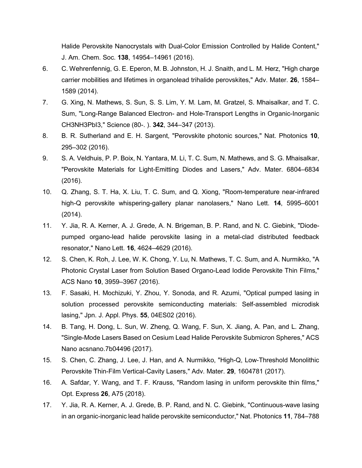Halide Perovskite Nanocrystals with Dual-Color Emission Controlled by Halide Content," J. Am. Chem. Soc. **138**, 14954–14961 (2016).

- 6. C. Wehrenfennig, G. E. Eperon, M. B. Johnston, H. J. Snaith, and L. M. Herz, "High charge carrier mobilities and lifetimes in organolead trihalide perovskites," Adv. Mater. **26**, 1584– 1589 (2014).
- 7. G. Xing, N. Mathews, S. Sun, S. S. Lim, Y. M. Lam, M. Gratzel, S. Mhaisalkar, and T. C. Sum, "Long-Range Balanced Electron- and Hole-Transport Lengths in Organic-Inorganic CH3NH3PbI3," Science (80-. ). **342**, 344–347 (2013).
- 8. B. R. Sutherland and E. H. Sargent, "Perovskite photonic sources," Nat. Photonics **10**, 295–302 (2016).
- 9. S. A. Veldhuis, P. P. Boix, N. Yantara, M. Li, T. C. Sum, N. Mathews, and S. G. Mhaisalkar, "Perovskite Materials for Light-Emitting Diodes and Lasers," Adv. Mater. 6804–6834 (2016).
- 10. Q. Zhang, S. T. Ha, X. Liu, T. C. Sum, and Q. Xiong, "Room-temperature near-infrared high-Q perovskite whispering-gallery planar nanolasers," Nano Lett. **14**, 5995–6001 (2014).
- 11. Y. Jia, R. A. Kerner, A. J. Grede, A. N. Brigeman, B. P. Rand, and N. C. Giebink, "Diodepumped organo-lead halide perovskite lasing in a metal-clad distributed feedback resonator," Nano Lett. **16**, 4624–4629 (2016).
- 12. S. Chen, K. Roh, J. Lee, W. K. Chong, Y. Lu, N. Mathews, T. C. Sum, and A. Nurmikko, "A Photonic Crystal Laser from Solution Based Organo-Lead Iodide Perovskite Thin Films," ACS Nano **10**, 3959–3967 (2016).
- 13. F. Sasaki, H. Mochizuki, Y. Zhou, Y. Sonoda, and R. Azumi, "Optical pumped lasing in solution processed perovskite semiconducting materials: Self-assembled microdisk lasing," Jpn. J. Appl. Phys. **55**, 04ES02 (2016).
- 14. B. Tang, H. Dong, L. Sun, W. Zheng, Q. Wang, F. Sun, X. Jiang, A. Pan, and L. Zhang, "Single-Mode Lasers Based on Cesium Lead Halide Perovskite Submicron Spheres," ACS Nano acsnano.7b04496 (2017).
- 15. S. Chen, C. Zhang, J. Lee, J. Han, and A. Nurmikko, "High-Q, Low-Threshold Monolithic Perovskite Thin-Film Vertical-Cavity Lasers," Adv. Mater. **29**, 1604781 (2017).
- 16. A. Safdar, Y. Wang, and T. F. Krauss, "Random lasing in uniform perovskite thin films," Opt. Express **26**, A75 (2018).
- 17. Y. Jia, R. A. Kerner, A. J. Grede, B. P. Rand, and N. C. Giebink, "Continuous-wave lasing in an organic-inorganic lead halide perovskite semiconductor," Nat. Photonics **11**, 784–788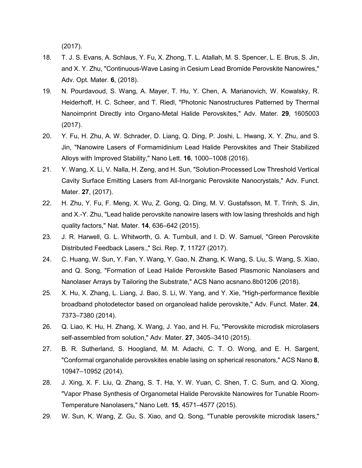(2017).

- 18. T. J. S. Evans, A. Schlaus, Y. Fu, X. Zhong, T. L. Atallah, M. S. Spencer, L. E. Brus, S. Jin, and X. Y. Zhu, "Continuous-Wave Lasing in Cesium Lead Bromide Perovskite Nanowires," Adv. Opt. Mater. **6**, (2018).
- 19. N. Pourdavoud, S. Wang, A. Mayer, T. Hu, Y. Chen, A. Marianovich, W. Kowalsky, R. Heiderhoff, H. C. Scheer, and T. Riedl, "Photonic Nanostructures Patterned by Thermal Nanoimprint Directly into Organo-Metal Halide Perovskites," Adv. Mater. **29**, 1605003 (2017).
- 20. Y. Fu, H. Zhu, A. W. Schrader, D. Liang, Q. Ding, P. Joshi, L. Hwang, X. Y. Zhu, and S. Jin, "Nanowire Lasers of Formamidinium Lead Halide Perovskites and Their Stabilized Alloys with Improved Stability," Nano Lett. **16**, 1000–1008 (2016).
- 21. Y. Wang, X. Li, V. Nalla, H. Zeng, and H. Sun, "Solution-Processed Low Threshold Vertical Cavity Surface Emitting Lasers from All-Inorganic Perovskite Nanocrystals," Adv. Funct. Mater. **27**, (2017).
- 22. H. Zhu, Y. Fu, F. Meng, X. Wu, Z. Gong, Q. Ding, M. V. Gustafsson, M. T. Trinh, S. Jin, and X.-Y. Zhu, "Lead halide perovskite nanowire lasers with low lasing thresholds and high quality factors," Nat. Mater. **14**, 636–642 (2015).
- 23. J. R. Harwell, G. L. Whitworth, G. A. Turnbull, and I. D. W. Samuel, "Green Perovskite Distributed Feedback Lasers.," Sci. Rep. **7**, 11727 (2017).
- 24. C. Huang, W. Sun, Y. Fan, Y. Wang, Y. Gao, N. Zhang, K. Wang, S. Liu, S. Wang, S. Xiao, and Q. Song, "Formation of Lead Halide Perovskite Based Plasmonic Nanolasers and Nanolaser Arrays by Tailoring the Substrate," ACS Nano acsnano.8b01206 (2018).
- 25. X. Hu, X. Zhang, L. Liang, J. Bao, S. Li, W. Yang, and Y. Xie, "High-performance flexible broadband photodetector based on organolead halide perovskite," Adv. Funct. Mater. **24**, 7373–7380 (2014).
- 26. Q. Liao, K. Hu, H. Zhang, X. Wang, J. Yao, and H. Fu, "Perovskite microdisk microlasers self-assembled from solution," Adv. Mater. **27**, 3405–3410 (2015).
- 27. B. R. Sutherland, S. Hoogland, M. M. Adachi, C. T. O. Wong, and E. H. Sargent, "Conformal organohalide perovskites enable lasing on spherical resonators," ACS Nano **8**, 10947–10952 (2014).
- 28. J. Xing, X. F. Liu, Q. Zhang, S. T. Ha, Y. W. Yuan, C. Shen, T. C. Sum, and Q. Xiong, "Vapor Phase Synthesis of Organometal Halide Perovskite Nanowires for Tunable Room-Temperature Nanolasers," Nano Lett. **15**, 4571–4577 (2015).
- 29. W. Sun, K. Wang, Z. Gu, S. Xiao, and Q. Song, "Tunable perovskite microdisk lasers,"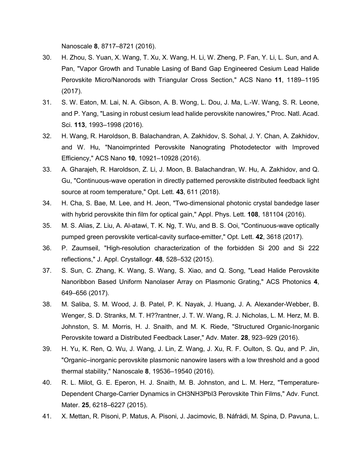Nanoscale **8**, 8717–8721 (2016).

- 30. H. Zhou, S. Yuan, X. Wang, T. Xu, X. Wang, H. Li, W. Zheng, P. Fan, Y. Li, L. Sun, and A. Pan, "Vapor Growth and Tunable Lasing of Band Gap Engineered Cesium Lead Halide Perovskite Micro/Nanorods with Triangular Cross Section," ACS Nano **11**, 1189–1195 (2017).
- 31. S. W. Eaton, M. Lai, N. A. Gibson, A. B. Wong, L. Dou, J. Ma, L.-W. Wang, S. R. Leone, and P. Yang, "Lasing in robust cesium lead halide perovskite nanowires," Proc. Natl. Acad. Sci. **113**, 1993–1998 (2016).
- 32. H. Wang, R. Haroldson, B. Balachandran, A. Zakhidov, S. Sohal, J. Y. Chan, A. Zakhidov, and W. Hu, "Nanoimprinted Perovskite Nanograting Photodetector with Improved Efficiency," ACS Nano **10**, 10921–10928 (2016).
- 33. A. Gharajeh, R. Haroldson, Z. Li, J. Moon, B. Balachandran, W. Hu, A. Zakhidov, and Q. Gu, "Continuous-wave operation in directly patterned perovskite distributed feedback light source at room temperature," Opt. Lett. **43**, 611 (2018).
- 34. H. Cha, S. Bae, M. Lee, and H. Jeon, "Two-dimensional photonic crystal bandedge laser with hybrid perovskite thin film for optical gain," Appl. Phys. Lett. **108**, 181104 (2016).
- 35. M. S. Alias, Z. Liu, A. Al-atawi, T. K. Ng, T. Wu, and B. S. Ooi, "Continuous-wave optically pumped green perovskite vertical-cavity surface-emitter," Opt. Lett. **42**, 3618 (2017).
- 36. P. Zaumseil, "High-resolution characterization of the forbidden Si 200 and Si 222 reflections," J. Appl. Crystallogr. **48**, 528–532 (2015).
- 37. S. Sun, C. Zhang, K. Wang, S. Wang, S. Xiao, and Q. Song, "Lead Halide Perovskite Nanoribbon Based Uniform Nanolaser Array on Plasmonic Grating," ACS Photonics **4**, 649–656 (2017).
- 38. M. Saliba, S. M. Wood, J. B. Patel, P. K. Nayak, J. Huang, J. A. Alexander-Webber, B. Wenger, S. D. Stranks, M. T. H??rantner, J. T. W. Wang, R. J. Nicholas, L. M. Herz, M. B. Johnston, S. M. Morris, H. J. Snaith, and M. K. Riede, "Structured Organic-Inorganic Perovskite toward a Distributed Feedback Laser," Adv. Mater. **28**, 923–929 (2016).
- 39. H. Yu, K. Ren, Q. Wu, J. Wang, J. Lin, Z. Wang, J. Xu, R. F. Oulton, S. Qu, and P. Jin, "Organic–inorganic perovskite plasmonic nanowire lasers with a low threshold and a good thermal stability," Nanoscale **8**, 19536–19540 (2016).
- 40. R. L. Milot, G. E. Eperon, H. J. Snaith, M. B. Johnston, and L. M. Herz, "Temperature-Dependent Charge-Carrier Dynamics in CH3NH3PbI3 Perovskite Thin Films," Adv. Funct. Mater. **25**, 6218–6227 (2015).
- 41. X. Mettan, R. Pisoni, P. Matus, A. Pisoni, J. Jacimovic, B. Náfrádi, M. Spina, D. Pavuna, L.